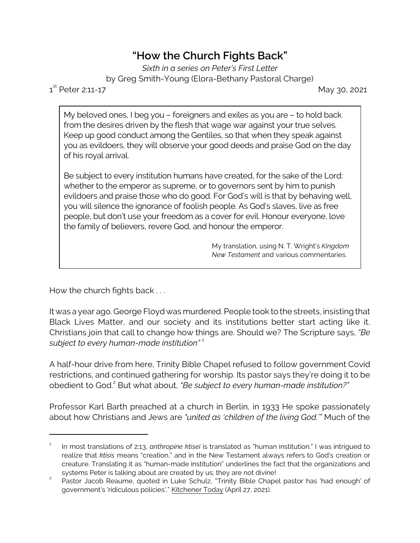## **"How the Church Fights Back"**

*Sixth in a series on Peter's First Letter* by Greg Smith-Young (Elora-Bethany Pastoral Charge)

 $1^{\text{st}}$ 

May 30, 2021

My beloved ones, I beg you – foreigners and exiles as you are – to hold back from the desires driven by the flesh that wage war against your true selves. Keep up good conduct among the Gentiles, so that when they speak against you as evildoers, they will observe your good deeds and praise God on the day of his royal arrival.

Be subject to every institution humans have created, for the sake of the Lord: whether to the emperor as supreme, or to governors sent by him to punish evildoers and praise those who do good. For God's will is that by behaving well, you will silence the ignorance of foolish people. As God's slaves, live as free people, but don't use your freedom as a cover for evil. Honour everyone, love the family of believers, revere God, and honour the emperor.

> My translation, using N. T. Wright's *Kingdom New Testament* and various commentaries.

How the church fights back . . .

It was a year ago. George Floyd was murdered. People took to the streets, insisting that Black Lives Matter, and our society and its institutions better start acting like it. Christians join that call to change how things are. Should we? The Scripture says, *"Be subject to every human-made institution" <sup>1</sup>*

A half-hour drive from here, Trinity Bible Chapel refused to follow government Covid restrictions, and continued gathering for worship. Its pastor says they're doing it to be obedient to God.<sup>2</sup> But what about, *"Be subject to every human-made institution?"* 

Professor Karl Barth preached at a church in Berlin, in 1933 He spoke passionately about how Christians and Jews are *"united as 'children of the living God.'"* Much of the

<sup>1</sup> In most translations of 2:13, *anthropine ktisei* is translated as "human institution." I was intrigued to realize that *ktisis* means "creation," and in the New Testament always refers to God's creation or creature. Translating it as "human-made institution" underlines the fact that the organizations and systems Peter is talking about are created by us; they are not divine!

<sup>2</sup> Pastor Jacob Reaume, quoted in Luke Schulz, "Trinity Bible Chapel pastor has 'had enough' of government's 'ridiculous policies'," Kitchener Today (April 27, 2021).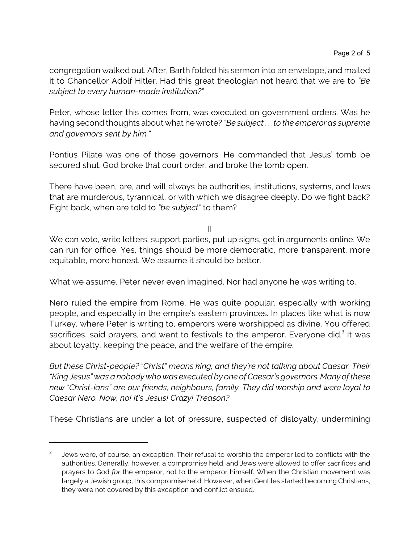congregation walked out. After, Barth folded his sermon into an envelope, and mailed it to Chancellor Adolf Hitler. Had this great theologian not heard that we are to *"Be subject to every human-made institution?"*

Peter, whose letter this comes from, was executed on government orders. Was he having second thoughts about what he wrote? *"Be subject . . . to the emperor as supreme and governors sent by him."* 

Pontius Pilate was one of those governors. He commanded that Jesus' tomb be secured shut. God broke that court order, and broke the tomb open.

There have been, are, and will always be authorities, institutions, systems, and laws that are murderous, tyrannical, or with which we disagree deeply. Do we fight back? Fight back, when are told to *"be subject"* to them?

II

We can vote, write letters, support parties, put up signs, get in arguments online. We can run for office. Yes, things should be more democratic, more transparent, more equitable, more honest. We assume it should be better.

What we assume, Peter never even imagined. Nor had anyone he was writing to.

Nero ruled the empire from Rome. He was quite popular, especially with working people, and especially in the empire's eastern provinces. In places like what is now Turkey, where Peter is writing to, emperors were worshipped as divine. You offered sacrifices, said prayers, and went to festivals to the emperor. Everyone did. $3$  It was about loyalty, keeping the peace, and the welfare of the empire.

*But these Christ-people? "Christ" means king, and they're not talking about Caesar. Their "King Jesus" was a nobody who was executed by one of Caesar's governors. Many of these new "Christ-ians" are our friends, neighbours, family. They did worship and were loyal to Caesar Nero. Now, no! It's Jesus! Crazy! Treason?* 

These Christians are under a lot of pressure, suspected of disloyalty, undermining

<sup>3</sup> Jews were, of course, an exception. Their refusal to worship the emperor led to conflicts with the authorities. Generally, however, a compromise held, and Jews were allowed to offer sacrifices and prayers to God *for* the emperor, not to the emperor himself. When the Christian movement was largely a Jewish group, this compromise held. However, when Gentiles started becoming Christians, they were not covered by this exception and conflict ensued.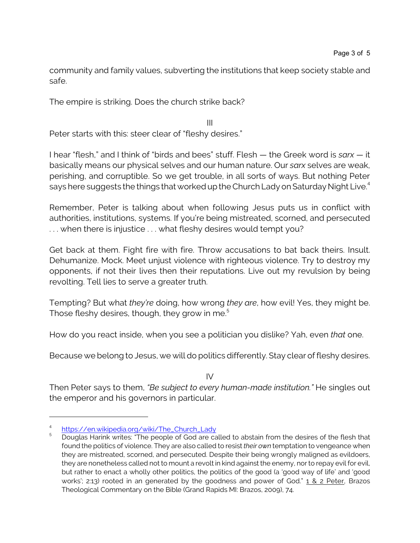community and family values, subverting the institutions that keep society stable and safe.

The empire is striking. Does the church strike back?

III Peter starts with this: steer clear of "fleshy desires."

I hear "flesh," and I think of "birds and bees" stuff. Flesh — the Greek word is *sarx —* it basically means our physical selves and our human nature. Our *sarx* selves are weak, perishing, and corruptible. So we get trouble, in all sorts of ways. But nothing Peter says here suggests the things that worked up the Church Lady on Saturday Night Live.<sup>4</sup>

Remember, Peter is talking about when following Jesus puts us in conflict with authorities, institutions, systems. If you're being mistreated, scorned, and persecuted . . . when there is injustice . . . what fleshy desires would tempt you?

Get back at them. Fight fire with fire. Throw accusations to bat back theirs. Insult. Dehumanize. Mock. Meet unjust violence with righteous violence. Try to destroy my opponents, if not their lives then their reputations. Live out my revulsion by being revolting. Tell lies to serve a greater truth.

Tempting? But what *they're* doing, how wrong *they are*, how evil! Yes, they might be. Those fleshy desires, though, they grow in me. $^5$ 

How do you react inside, when you see a politician you dislike? Yah, even *that* one.

Because we belong to Jesus, we will do politics differently. Stay clear of fleshy desires.

 $IV$ 

Then Peter says to them, *"Be subject to every human-made institution."* He singles out the emperor and his governors in particular.

<sup>4</sup> [https://en.wikipedia.org/wiki/The\\_Church\\_Lady](https://en.wikipedia.org/wiki/The_Church_Lady)

<sup>5</sup> Douglas Harink writes: "The people of God are called to abstain from the desires of the flesh that found the politics of violence. They are also called to resist *their own* temptation to vengeance when they are mistreated, scorned, and persecuted. Despite their being wrongly maligned as evildoers, they are nonetheless called not to mount a revolt in kind against the enemy, nor to repay evil for evil, but rather to enact a wholly other politics, the politics of the good (a 'good way of life' and 'good works'; 2:13) rooted in an generated by the goodness and power of God." 1 & 2 Peter, Brazos Theological Commentary on the Bible (Grand Rapids MI: Brazos, 2009), 74.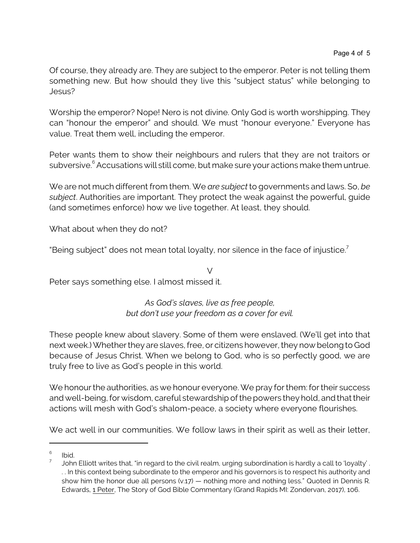Of course, they already are. They are subject to the emperor. Peter is not telling them something new. But how should they live this "subject status" while belonging to Jesus?

Worship the emperor? Nope! Nero is not divine. Only God is worth worshipping. They can "honour the emperor" and should. We must "honour everyone." Everyone has value. Treat them well, including the emperor.

Peter wants them to show their neighbours and rulers that they are not traitors or subversive.<sup>6</sup> Accusations will still come, but make sure your actions make them untrue.

We are not much different from them. We *are subject* to governments and laws. So, *be subject*. Authorities are important. They protect the weak against the powerful, guide (and sometimes enforce) how we live together. At least, they should.

What about when they do not?

"Being subject" does not mean total loyalty, nor silence in the face of injustice. $7$ 

V Peter says something else. I almost missed it.

## *As God's slaves, live as free people, but don't use your freedom as a cover for evil.*

These people knew about slavery. Some of them were enslaved. (We'll get into that next week.) Whether they are slaves, free, or citizens however, they now belong to God because of Jesus Christ. When we belong to God, who is so perfectly good, we are truly free to live as God's people in this world.

We honour the authorities, as we honour everyone. We pray for them: for their success and well-being, for wisdom, careful stewardship of the powers they hold, and that their actions will mesh with God's shalom-peace, a society where everyone flourishes.

We act well in our communities. We follow laws in their spirit as well as their letter,

<sup>6</sup> Ibid.

<sup>7</sup> John Elliott writes that, "in regard to the civil realm, urging subordination is hardly a call to 'loyalty' . . . In this context being subordinate to the emperor and his governors is to respect his authority and show him the honor due all persons (v.17) — nothing more and nothing less." Quoted in Dennis R. Edwards, 1 Peter, The Story of God Bible Commentary (Grand Rapids MI: Zondervan, 2017), 106.